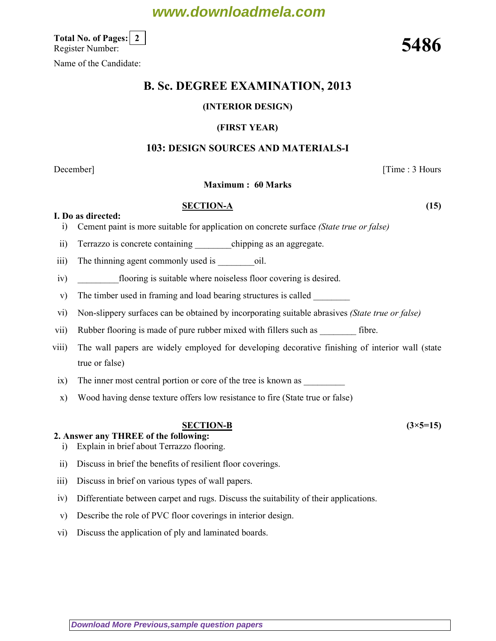# **www.downloadmela.com**

Total No. of Pages: 2 Total No. of Pages:  $\lfloor 2 \rfloor$ <br>Register Number:  $5486$ 

Name of the Candidate:

# B. Sc. DEGREE EXAMINATION, 2013

# (INTERIOR DESIGN)

#### (FIRST YEAR)

## 103: DESIGN SOURCES AND MATERIALS-I

## December] [Time : 3 Hours

#### Maximum : 60 Marks

#### SECTION-A (15)

I. Do as directed:

- i) Cement paint is more suitable for application on concrete surface (State true or false)
- ii) Terrazzo is concrete containing chipping as an aggregate.
- iii) The thinning agent commonly used is \_\_\_\_\_\_\_\_\_\_\_\_\_oil.
- iv) flooring is suitable where noiseless floor covering is desired.
- v) The timber used in framing and load bearing structures is called
- vi) Non-slippery surfaces can be obtained by incorporating suitable abrasives (State true or false)
- vii) Rubber flooring is made of pure rubber mixed with fillers such as \_\_\_\_\_\_\_\_\_\_\_ fibre.
- viii) The wall papers are widely employed for developing decorative finishing of interior wall (state true or false)
- ix) The inner most central portion or core of the tree is known as \_\_\_\_\_\_\_\_\_\_\_\_\_
- x) Wood having dense texture offers low resistance to fire (State true or false)

#### SECTION-B  $(3 \times 5=15)$

# 2. Answer any THREE of the following:

- i) Explain in brief about Terrazzo flooring.
- ii) Discuss in brief the benefits of resilient floor coverings.
- iii) Discuss in brief on various types of wall papers.
- iv) Differentiate between carpet and rugs. Discuss the suitability of their applications.
- v) Describe the role of PVC floor coverings in interior design.
- vi) Discuss the application of ply and laminated boards.